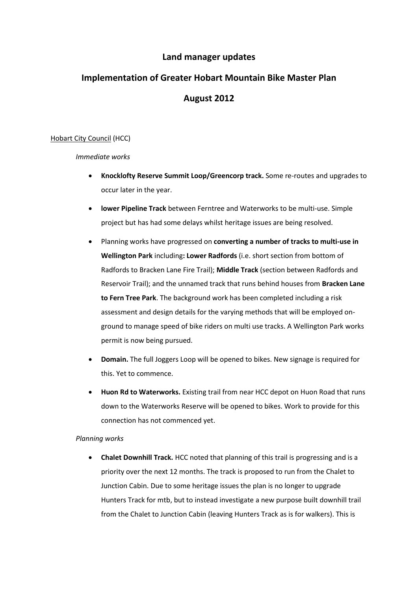## **Land manager updates**

# **Implementation of Greater Hobart Mountain Bike Master Plan August 2012**

## Hobart City Council (HCC)

#### *Immediate works*

- **Knocklofty Reserve Summit Loop/Greencorp track.** Some re-routes and upgrades to occur later in the year.
- **lower Pipeline Track** between Ferntree and Waterworks to be multi-use. Simple project but has had some delays whilst heritage issues are being resolved.
- Planning works have progressed on **converting a number of tracks to multi-use in Wellington Park** including**: Lower Radfords** (i.e. short section from bottom of Radfords to Bracken Lane Fire Trail); **Middle Track** (section between Radfords and Reservoir Trail); and the unnamed track that runs behind houses from **Bracken Lane to Fern Tree Park**. The background work has been completed including a risk assessment and design details for the varying methods that will be employed onground to manage speed of bike riders on multi use tracks. A Wellington Park works permit is now being pursued.
- **Domain.** The full Joggers Loop will be opened to bikes. New signage is required for this. Yet to commence.
- **Huon Rd to Waterworks.** Existing trail from near HCC depot on Huon Road that runs down to the Waterworks Reserve will be opened to bikes. Work to provide for this connection has not commenced yet.

#### *Planning works*

 **Chalet Downhill Track.** HCC noted that planning of this trail is progressing and is a priority over the next 12 months. The track is proposed to run from the Chalet to Junction Cabin. Due to some heritage issues the plan is no longer to upgrade Hunters Track for mtb, but to instead investigate a new purpose built downhill trail from the Chalet to Junction Cabin (leaving Hunters Track as is for walkers). This is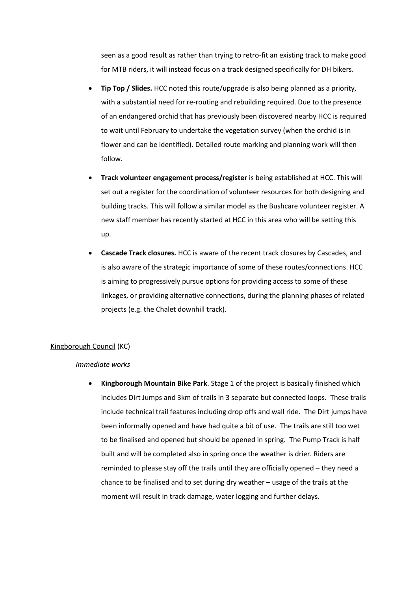seen as a good result as rather than trying to retro-fit an existing track to make good for MTB riders, it will instead focus on a track designed specifically for DH bikers.

- **Tip Top / Slides.** HCC noted this route/upgrade is also being planned as a priority, with a substantial need for re-routing and rebuilding required. Due to the presence of an endangered orchid that has previously been discovered nearby HCC is required to wait until February to undertake the vegetation survey (when the orchid is in flower and can be identified). Detailed route marking and planning work will then follow.
- **Track volunteer engagement process/register** is being established at HCC. This will set out a register for the coordination of volunteer resources for both designing and building tracks. This will follow a similar model as the Bushcare volunteer register. A new staff member has recently started at HCC in this area who will be setting this up.
- **Cascade Track closures.** HCC is aware of the recent track closures by Cascades, and is also aware of the strategic importance of some of these routes/connections. HCC is aiming to progressively pursue options for providing access to some of these linkages, or providing alternative connections, during the planning phases of related projects (e.g. the Chalet downhill track).

#### Kingborough Council (KC)

#### *Immediate works*

 **Kingborough Mountain Bike Park**. Stage 1 of the project is basically finished which includes Dirt Jumps and 3km of trails in 3 separate but connected loops. These trails include technical trail features including drop offs and wall ride. The Dirt jumps have been informally opened and have had quite a bit of use. The trails are still too wet to be finalised and opened but should be opened in spring. The Pump Track is half built and will be completed also in spring once the weather is drier. Riders are reminded to please stay off the trails until they are officially opened – they need a chance to be finalised and to set during dry weather – usage of the trails at the moment will result in track damage, water logging and further delays.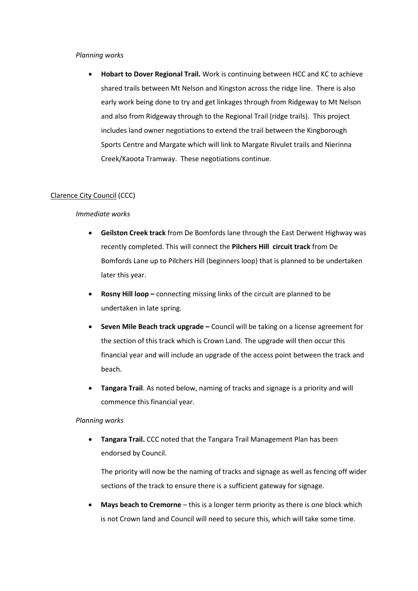#### *Planning works*

 **Hobart to Dover Regional Trail.** Work is continuing between HCC and KC to achieve shared trails between Mt Nelson and Kingston across the ridge line. There is also early work being done to try and get linkages through from Ridgeway to Mt Nelson and also from Ridgeway through to the Regional Trail (ridge trails). This project includes land owner negotiations to extend the trail between the Kingborough Sports Centre and Margate which will link to Margate Rivulet trails and Nierinna Creek/Kaoota Tramway. These negotiations continue.

#### Clarence City Council (CCC)

#### *Immediate works*

- **Geilston Creek track** from De Bomfords lane through the East Derwent Highway was recently completed. This will connect the **Pilchers Hill circuit track** from De Bomfords Lane up to Pilchers Hill (beginners loop) that is planned to be undertaken later this year.
- **Rosny Hill loop –** connecting missing links of the circuit are planned to be undertaken in late spring.
- **Seven Mile Beach track upgrade –** Council will be taking on a license agreement for the section of this track which is Crown Land. The upgrade will then occur this financial year and will include an upgrade of the access point between the track and beach.
- **Tangara Trail**. As noted below, naming of tracks and signage is a priority and will commence this financial year.

#### *Planning works*

 **Tangara Trail.** CCC noted that the Tangara Trail Management Plan has been endorsed by Council.

The priority will now be the naming of tracks and signage as well as fencing off wider sections of the track to ensure there is a sufficient gateway for signage.

 **Mays beach to Cremorne** – this is a longer term priority as there is one block which is not Crown land and Council will need to secure this, which will take some time.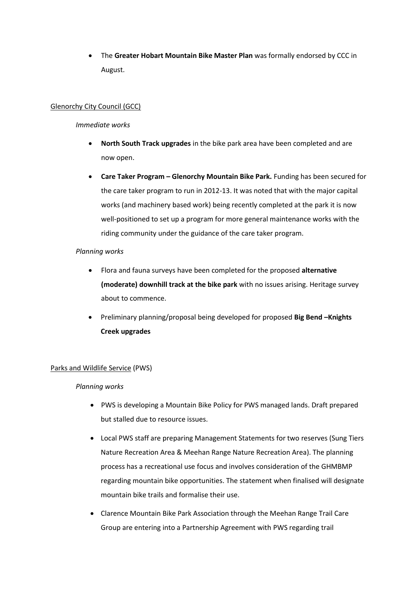The **Greater Hobart Mountain Bike Master Plan** was formally endorsed by CCC in August.

## Glenorchy City Council (GCC)

## *Immediate works*

- **North South Track upgrades** in the bike park area have been completed and are now open.
- **Care Taker Program – Glenorchy Mountain Bike Park.** Funding has been secured for the care taker program to run in 2012-13. It was noted that with the major capital works (and machinery based work) being recently completed at the park it is now well-positioned to set up a program for more general maintenance works with the riding community under the guidance of the care taker program.

## *Planning works*

- Flora and fauna surveys have been completed for the proposed **alternative (moderate) downhill track at the bike park** with no issues arising. Heritage survey about to commence.
- Preliminary planning/proposal being developed for proposed **Big Bend –Knights Creek upgrades**

## Parks and Wildlife Service (PWS)

#### *Planning works*

- PWS is developing a Mountain Bike Policy for PWS managed lands. Draft prepared but stalled due to resource issues.
- Local PWS staff are preparing Management Statements for two reserves (Sung Tiers Nature Recreation Area & Meehan Range Nature Recreation Area). The planning process has a recreational use focus and involves consideration of the GHMBMP regarding mountain bike opportunities. The statement when finalised will designate mountain bike trails and formalise their use.
- Clarence Mountain Bike Park Association through the Meehan Range Trail Care Group are entering into a Partnership Agreement with PWS regarding trail